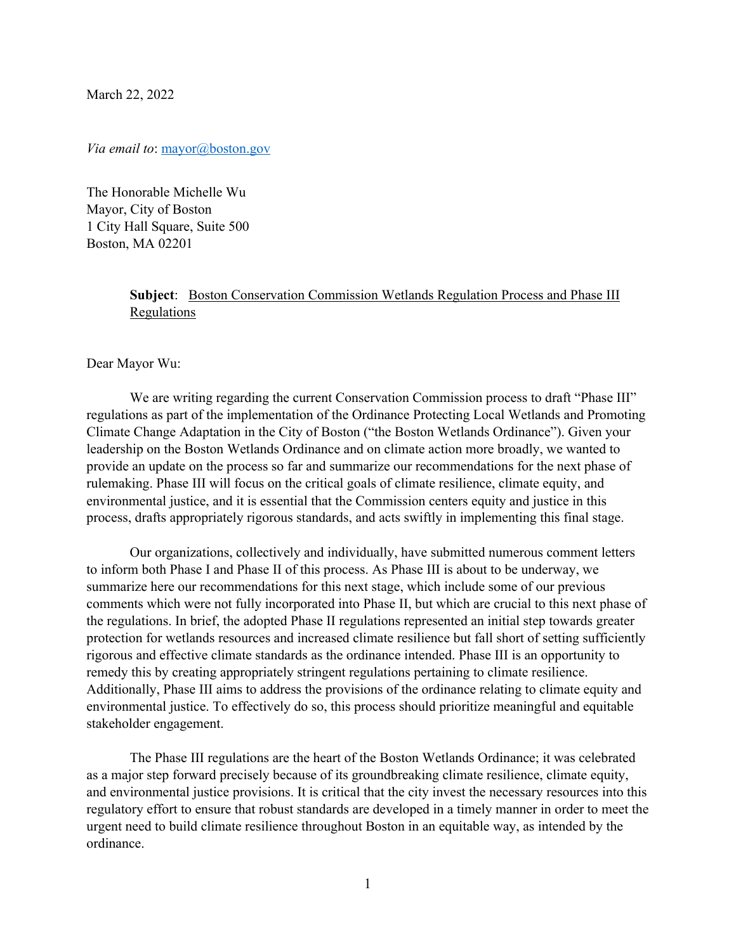March 22, 2022

## *Via email to:* [mayor@boston.gov](mailto:mayor@boston.gov)

The Honorable Michelle Wu Mayor, City of Boston 1 City Hall Square, Suite 500 Boston, MA 02201

## Subject: Boston Conservation Commission Wetlands Regulation Process and Phase III Regulations

## Dear Mayor Wu:

We are writing regarding the current Conservation Commission process to draft "Phase III" regulations as part of the implementation of the Ordinance Protecting Local Wetlands and Promoting Climate Change Adaptation in the City of Boston ("the Boston Wetlands Ordinance"). Given your leadership on the Boston Wetlands Ordinance and on climate action more broadly, we wanted to provide an update on the process so far and summarize our recommendations for the next phase of rulemaking. Phase III will focus on the critical goals of climate resilience, climate equity, and environmental justice, and it is essential that the Commission centers equity and justice in this process, drafts appropriately rigorous standards, and acts swiftly in implementing this final stage.

Our organizations, collectively and individually, have submitted numerous comment letters to inform both Phase I and Phase II of this process. As Phase III is about to be underway, we summarize here our recommendations for this next stage, which include some of our previous comments which were not fully incorporated into Phase II, but which are crucial to this next phase of the regulations. In brief, the adopted Phase II regulations represented an initial step towards greater protection for wetlands resources and increased climate resilience but fall short of setting sufficiently rigorous and effective climate standards as the ordinance intended. Phase III is an opportunity to remedy this by creating appropriately stringent regulations pertaining to climate resilience. Additionally, Phase III aims to address the provisions of the ordinance relating to climate equity and environmental justice. To effectively do so, this process should prioritize meaningful and equitable stakeholder engagement.

The Phase III regulations are the heart of the Boston Wetlands Ordinance; it was celebrated as a major step forward precisely because of its groundbreaking climate resilience, climate equity, and environmental justice provisions. It is critical that the city invest the necessary resources into this regulatory effort to ensure that robust standards are developed in a timely manner in order to meet the urgent need to build climate resilience throughout Boston in an equitable way, as intended by the ordinance.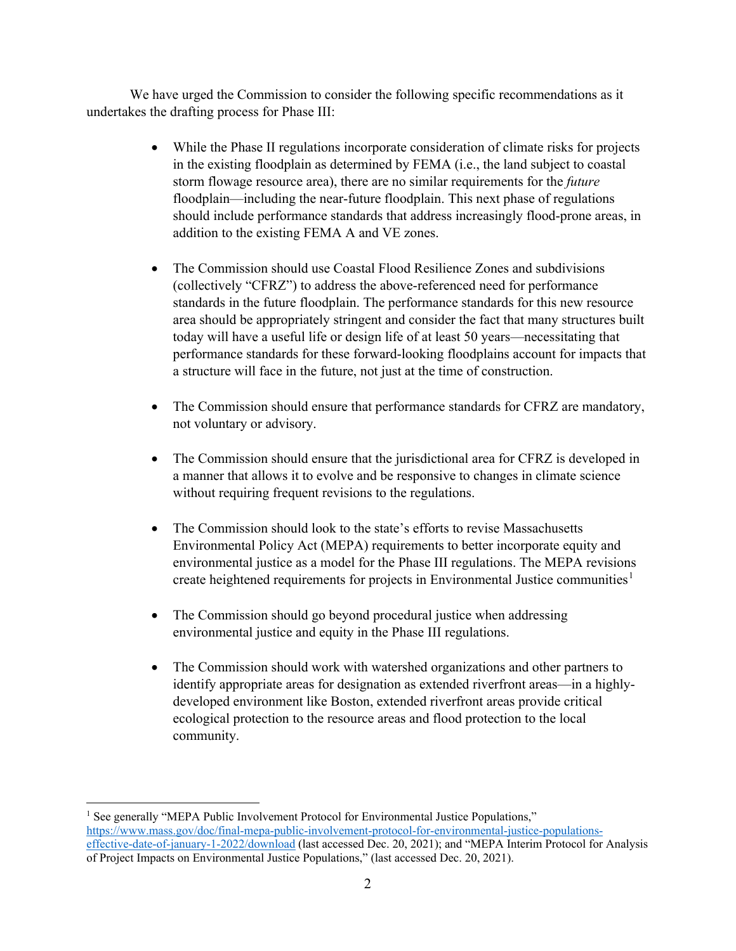We have urged the Commission to consider the following specific recommendations as it undertakes the drafting process for Phase III:

- While the Phase II regulations incorporate consideration of climate risks for projects in the existing floodplain as determined by FEMA (i.e., the land subject to coastal storm flowage resource area), there are no similar requirements for the *future* floodplain—including the near-future floodplain. This next phase of regulations should include performance standards that address increasingly flood-prone areas, in addition to the existing FEMA A and VE zones.
- The Commission should use Coastal Flood Resilience Zones and subdivisions (collectively "CFRZ") to address the above-referenced need for performance standards in the future floodplain. The performance standards for this new resource area should be appropriately stringent and consider the fact that many structures built today will have a useful life or design life of at least 50 years—necessitating that performance standards for these forward-looking floodplains account for impacts that a structure will face in the future, not just at the time of construction.
- The Commission should ensure that performance standards for CFRZ are mandatory, not voluntary or advisory.
- The Commission should ensure that the jurisdictional area for CFRZ is developed in a manner that allows it to evolve and be responsive to changes in climate science without requiring frequent revisions to the regulations.
- The Commission should look to the state's efforts to revise Massachusetts Environmental Policy Act (MEPA) requirements to better incorporate equity and environmental justice as a model for the Phase III regulations. The MEPA revisions create heightened requirements for projects in Environmental Justice communities<sup>[1](#page-1-0)</sup>
- The Commission should go beyond procedural justice when addressing environmental justice and equity in the Phase III regulations.
- The Commission should work with watershed organizations and other partners to identify appropriate areas for designation as extended riverfront areas—in a highlydeveloped environment like Boston, extended riverfront areas provide critical ecological protection to the resource areas and flood protection to the local community.

<span id="page-1-0"></span><sup>&</sup>lt;sup>1</sup> See generally "MEPA Public Involvement Protocol for Environmental Justice Populations," [https://www.mass.gov/doc/final-mepa-public-involvement-protocol-for-environmental-justice-populations](https://www.mass.gov/doc/final-mepa-public-involvement-protocol-for-environmental-justice-populations-effective-date-of-january-1-2022/download)[effective-date-of-january-1-2022/download](https://www.mass.gov/doc/final-mepa-public-involvement-protocol-for-environmental-justice-populations-effective-date-of-january-1-2022/download) (last accessed Dec. 20, 2021); and "MEPA Interim Protocol for Analysis of Project Impacts on Environmental Justice Populations," (last accessed Dec. 20, 2021).